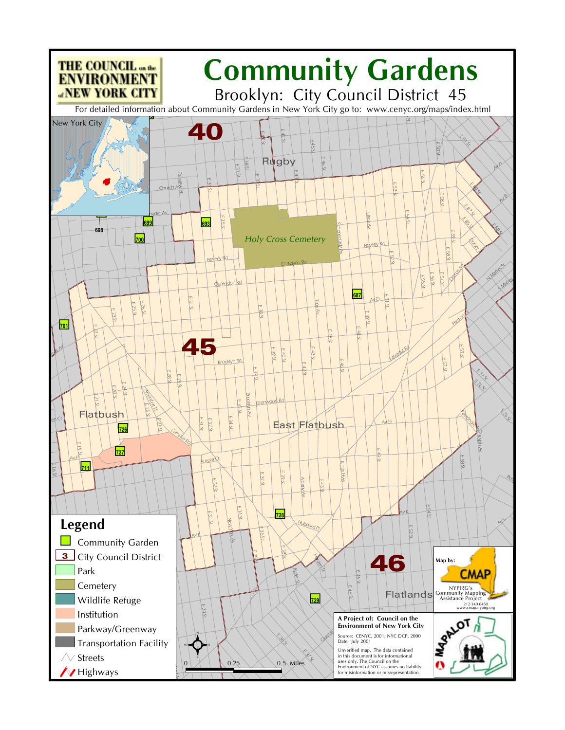